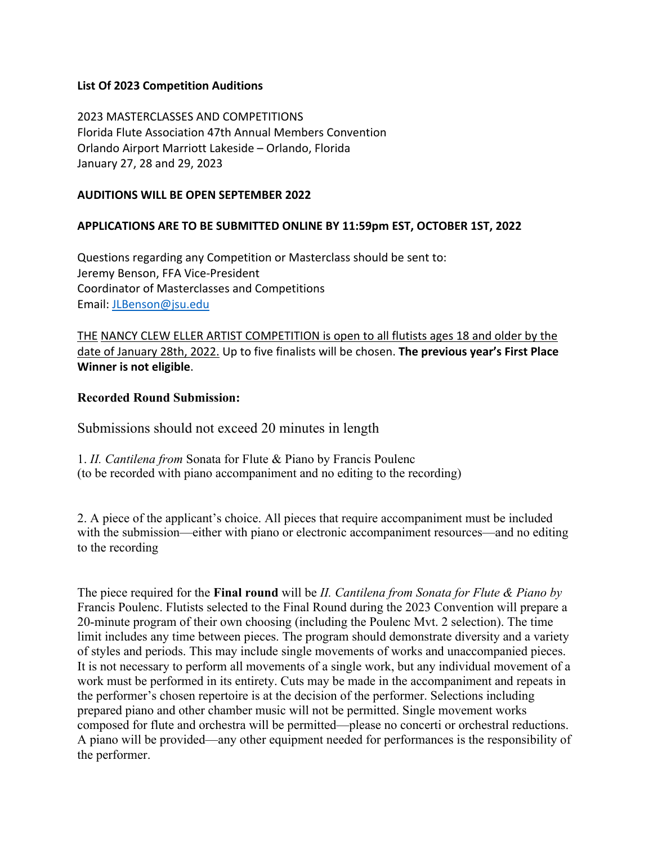# **List Of 2023 Competition Auditions**

2023 MASTERCLASSES AND COMPETITIONS Florida Flute Association 47th Annual Members Convention Orlando Airport Marriott Lakeside – Orlando, Florida January 27, 28 and 29, 2023

#### **AUDITIONS WILL BE OPEN SEPTEMBER 2022**

# **APPLICATIONS ARE TO BE SUBMITTED ONLINE BY 11:59pm EST, OCTOBER 1ST, 2022**

Questions regarding any Competition or Masterclass should be sent to: Jeremy Benson, FFA Vice-President Coordinator of Masterclasses and Competitions Email: JLBenson@jsu.edu

THE NANCY CLEW ELLER ARTIST COMPETITION is open to all flutists ages 18 and older by the date of January 28th, 2022. Up to five finalists will be chosen. **The previous year's First Place Winner is not eligible**.

# **Recorded Round Submission:**

Submissions should not exceed 20 minutes in length

1. *II. Cantilena from* Sonata for Flute & Piano by Francis Poulenc (to be recorded with piano accompaniment and no editing to the recording)

2. A piece of the applicant's choice. All pieces that require accompaniment must be included with the submission—either with piano or electronic accompaniment resources—and no editing to the recording

The piece required for the **Final round** will be *II. Cantilena from Sonata for Flute & Piano by* Francis Poulenc. Flutists selected to the Final Round during the 2023 Convention will prepare a 20-minute program of their own choosing (including the Poulenc Mvt. 2 selection). The time limit includes any time between pieces. The program should demonstrate diversity and a variety of styles and periods. This may include single movements of works and unaccompanied pieces. It is not necessary to perform all movements of a single work, but any individual movement of a work must be performed in its entirety. Cuts may be made in the accompaniment and repeats in the performer's chosen repertoire is at the decision of the performer. Selections including prepared piano and other chamber music will not be permitted. Single movement works composed for flute and orchestra will be permitted—please no concerti or orchestral reductions. A piano will be provided—any other equipment needed for performances is the responsibility of the performer.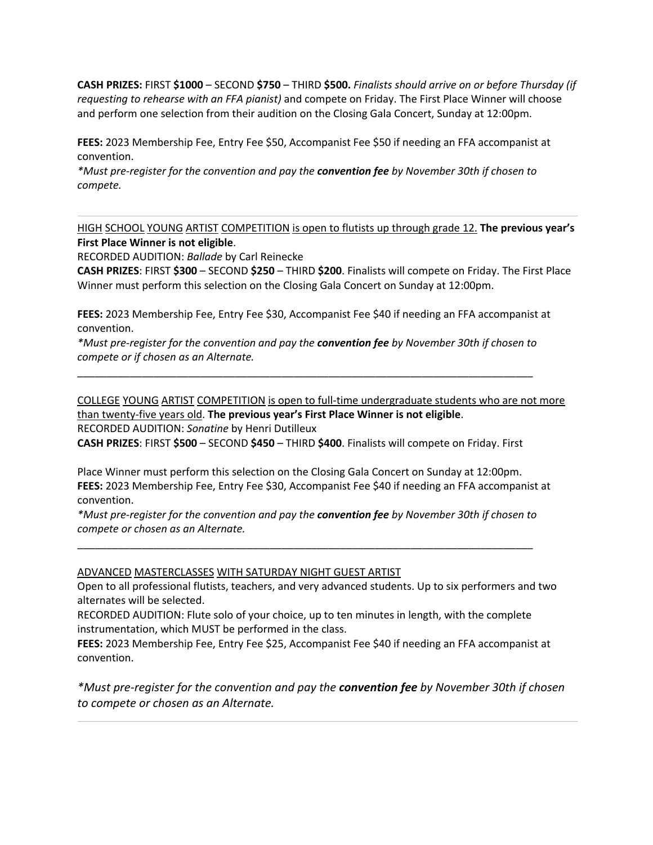**CASH PRIZES:** FIRST **\$1000** – SECOND **\$750** – THIRD **\$500.** *Finalists should arrive on or before Thursday (if requesting to rehearse with an FFA pianist)* and compete on Friday. The First Place Winner will choose and perform one selection from their audition on the Closing Gala Concert, Sunday at 12:00pm.

**FEES:** 2023 Membership Fee, Entry Fee \$50, Accompanist Fee \$50 if needing an FFA accompanist at convention.

*\*Must pre-register for the convention and pay the convention fee by November 30th if chosen to compete.*

HIGH SCHOOL YOUNG ARTIST COMPETITION is open to flutists up through grade 12. **The previous year's First Place Winner is not eligible**.

RECORDED AUDITION: *Ballade* by Carl Reinecke

**CASH PRIZES**: FIRST **\$300** – SECOND **\$250** – THIRD **\$200**. Finalists will compete on Friday. The First Place Winner must perform this selection on the Closing Gala Concert on Sunday at 12:00pm.

**FEES:** 2023 Membership Fee, Entry Fee \$30, Accompanist Fee \$40 if needing an FFA accompanist at convention.

*\*Must pre-register for the convention and pay the convention fee by November 30th if chosen to compete or if chosen as an Alternate.*

\_\_\_\_\_\_\_\_\_\_\_\_\_\_\_\_\_\_\_\_\_\_\_\_\_\_\_\_\_\_\_\_\_\_\_\_\_\_\_\_\_\_\_\_\_\_\_\_\_\_\_\_\_\_\_\_\_\_\_\_\_\_\_\_\_\_\_\_\_\_\_\_\_\_\_\_\_\_

COLLEGE YOUNG ARTIST COMPETITION is open to full-time undergraduate students who are not more than twenty-five years old. **The previous year's First Place Winner is not eligible**.

RECORDED AUDITION: *Sonatine* by Henri Dutilleux

**CASH PRIZES**: FIRST **\$500** – SECOND **\$450** – THIRD **\$400**. Finalists will compete on Friday. First

Place Winner must perform this selection on the Closing Gala Concert on Sunday at 12:00pm. **FEES:** 2023 Membership Fee, Entry Fee \$30, Accompanist Fee \$40 if needing an FFA accompanist at convention.

*\*Must pre-register for the convention and pay the convention fee by November 30th if chosen to compete or chosen as an Alternate.*

\_\_\_\_\_\_\_\_\_\_\_\_\_\_\_\_\_\_\_\_\_\_\_\_\_\_\_\_\_\_\_\_\_\_\_\_\_\_\_\_\_\_\_\_\_\_\_\_\_\_\_\_\_\_\_\_\_\_\_\_\_\_\_\_\_\_\_\_\_\_\_\_\_\_\_\_\_\_

#### ADVANCED MASTERCLASSES WITH SATURDAY NIGHT GUEST ARTIST

Open to all professional flutists, teachers, and very advanced students. Up to six performers and two alternates will be selected.

RECORDED AUDITION: Flute solo of your choice, up to ten minutes in length, with the complete instrumentation, which MUST be performed in the class.

**FEES:** 2023 Membership Fee, Entry Fee \$25, Accompanist Fee \$40 if needing an FFA accompanist at convention.

*\*Must pre-register for the convention and pay the convention fee by November 30th if chosen to compete or chosen as an Alternate.*